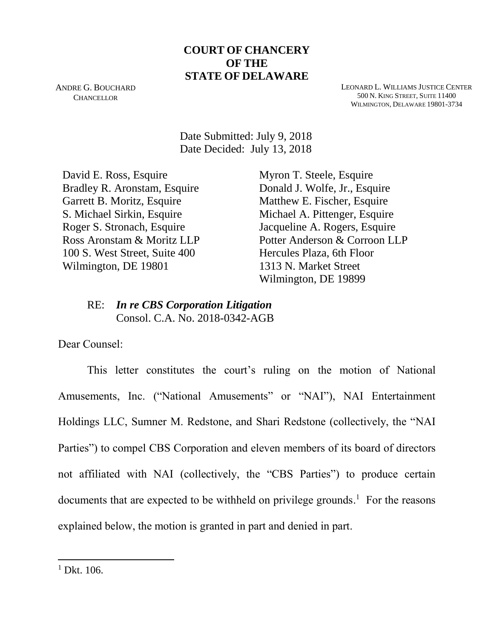## **COURT OF CHANCERY OF THE STATE OF DELAWARE**

ANDRE G. BOUCHARD **CHANCELLOR** 

LEONARD L. WILLIAMS JUSTICE CENTER 500 N. KING STREET, SUITE 11400 WILMINGTON, DELAWARE 19801-3734

 Date Submitted: July 9, 2018 Date Decided: July 13, 2018

David E. Ross, Esquire Bradley R. Aronstam, Esquire Garrett B. Moritz, Esquire S. Michael Sirkin, Esquire Roger S. Stronach, Esquire Ross Aronstam & Moritz LLP 100 S. West Street, Suite 400 Wilmington, DE 19801

Myron T. Steele, Esquire Donald J. Wolfe, Jr., Esquire Matthew E. Fischer, Esquire Michael A. Pittenger, Esquire Jacqueline A. Rogers, Esquire Potter Anderson & Corroon LLP Hercules Plaza, 6th Floor 1313 N. Market Street Wilmington, DE 19899

## RE: *In re CBS Corporation Litigation* Consol. C.A. No. 2018-0342-AGB

Dear Counsel:

This letter constitutes the court's ruling on the motion of National Amusements, Inc. ("National Amusements" or "NAI"), NAI Entertainment Holdings LLC, Sumner M. Redstone, and Shari Redstone (collectively, the "NAI Parties") to compel CBS Corporation and eleven members of its board of directors not affiliated with NAI (collectively, the "CBS Parties") to produce certain documents that are expected to be withheld on privilege grounds.<sup>1</sup> For the reasons explained below, the motion is granted in part and denied in part.

 $1$  Dkt. 106.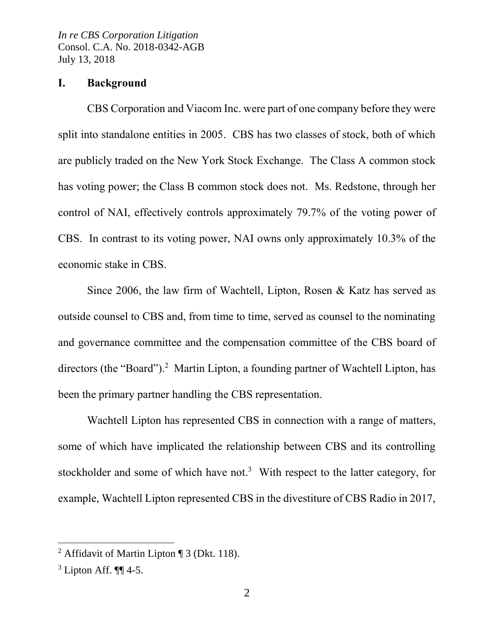## **I. Background**

CBS Corporation and Viacom Inc. were part of one company before they were split into standalone entities in 2005. CBS has two classes of stock, both of which are publicly traded on the New York Stock Exchange. The Class A common stock has voting power; the Class B common stock does not. Ms. Redstone, through her control of NAI, effectively controls approximately 79.7% of the voting power of CBS. In contrast to its voting power, NAI owns only approximately 10.3% of the economic stake in CBS.

Since 2006, the law firm of Wachtell, Lipton, Rosen & Katz has served as outside counsel to CBS and, from time to time, served as counsel to the nominating and governance committee and the compensation committee of the CBS board of directors (the "Board").<sup>2</sup> Martin Lipton, a founding partner of Wachtell Lipton, has been the primary partner handling the CBS representation.

Wachtell Lipton has represented CBS in connection with a range of matters, some of which have implicated the relationship between CBS and its controlling stockholder and some of which have not.<sup>3</sup> With respect to the latter category, for example, Wachtell Lipton represented CBS in the divestiture of CBS Radio in 2017,

<sup>2</sup> Affidavit of Martin Lipton ¶ 3 (Dkt. 118).

 $3$  Lipton Aff.  $\P\P$  4-5.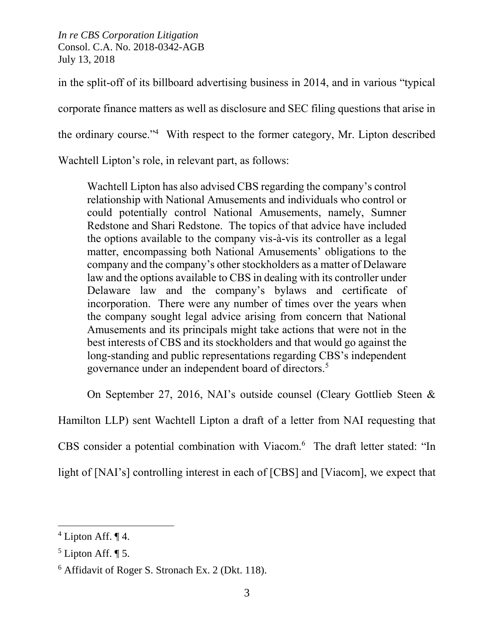in the split-off of its billboard advertising business in 2014, and in various "typical

corporate finance matters as well as disclosure and SEC filing questions that arise in

the ordinary course."<sup>4</sup> With respect to the former category, Mr. Lipton described

Wachtell Lipton's role, in relevant part, as follows:

Wachtell Lipton has also advised CBS regarding the company's control relationship with National Amusements and individuals who control or could potentially control National Amusements, namely, Sumner Redstone and Shari Redstone. The topics of that advice have included the options available to the company vis-à-vis its controller as a legal matter, encompassing both National Amusements' obligations to the company and the company's other stockholders as a matter of Delaware law and the options available to CBS in dealing with its controller under Delaware law and the company's bylaws and certificate of incorporation. There were any number of times over the years when the company sought legal advice arising from concern that National Amusements and its principals might take actions that were not in the best interests of CBS and its stockholders and that would go against the long-standing and public representations regarding CBS's independent governance under an independent board of directors.<sup>5</sup>

On September 27, 2016, NAI's outside counsel (Cleary Gottlieb Steen &

Hamilton LLP) sent Wachtell Lipton a draft of a letter from NAI requesting that CBS consider a potential combination with Viacom.<sup>6</sup> The draft letter stated: "In light of [NAI's] controlling interest in each of [CBS] and [Viacom], we expect that

 $4$  Lipton Aff.  $\P$  4.

 $<sup>5</sup>$  Lipton Aff. ¶ 5.</sup>

<sup>6</sup> Affidavit of Roger S. Stronach Ex. 2 (Dkt. 118).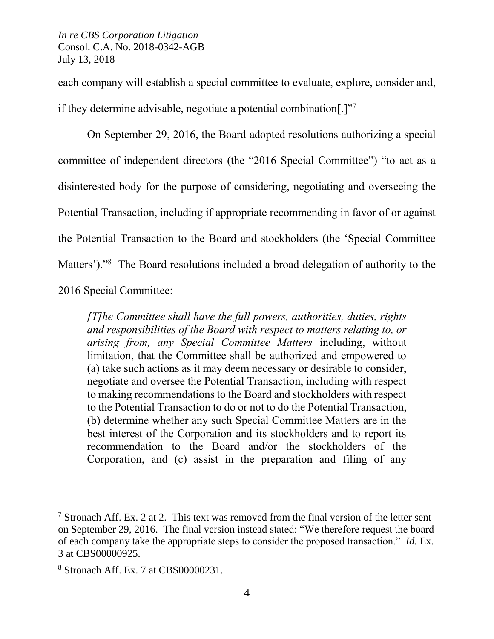each company will establish a special committee to evaluate, explore, consider and, if they determine advisable, negotiate a potential combination[.]"7

On September 29, 2016, the Board adopted resolutions authorizing a special committee of independent directors (the "2016 Special Committee") "to act as a disinterested body for the purpose of considering, negotiating and overseeing the Potential Transaction, including if appropriate recommending in favor of or against the Potential Transaction to the Board and stockholders (the 'Special Committee Matters')."<sup>8</sup> The Board resolutions included a broad delegation of authority to the 2016 Special Committee:

*[T]he Committee shall have the full powers, authorities, duties, rights and responsibilities of the Board with respect to matters relating to, or arising from, any Special Committee Matters* including, without limitation, that the Committee shall be authorized and empowered to (a) take such actions as it may deem necessary or desirable to consider, negotiate and oversee the Potential Transaction, including with respect to making recommendations to the Board and stockholders with respect to the Potential Transaction to do or not to do the Potential Transaction, (b) determine whether any such Special Committee Matters are in the best interest of the Corporation and its stockholders and to report its recommendation to the Board and/or the stockholders of the Corporation, and (c) assist in the preparation and filing of any

l

<sup>&</sup>lt;sup>7</sup> Stronach Aff. Ex. 2 at 2. This text was removed from the final version of the letter sent on September 29, 2016. The final version instead stated: "We therefore request the board of each company take the appropriate steps to consider the proposed transaction." *Id.* Ex. 3 at CBS00000925.

<sup>8</sup> Stronach Aff. Ex. 7 at CBS00000231.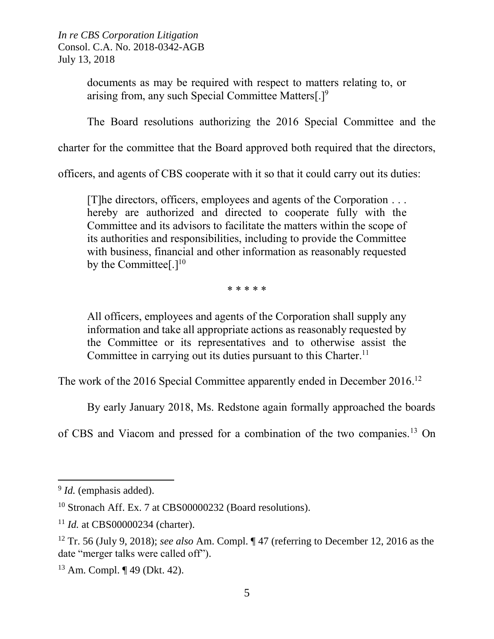> documents as may be required with respect to matters relating to, or arising from, any such Special Committee Matters[.]<sup>9</sup>

The Board resolutions authorizing the 2016 Special Committee and the

charter for the committee that the Board approved both required that the directors,

officers, and agents of CBS cooperate with it so that it could carry out its duties:

[T]he directors, officers, employees and agents of the Corporation . . . hereby are authorized and directed to cooperate fully with the Committee and its advisors to facilitate the matters within the scope of its authorities and responsibilities, including to provide the Committee with business, financial and other information as reasonably requested by the Committee<sup>[.] $10$ </sup>

\* \* \* \* \*

All officers, employees and agents of the Corporation shall supply any information and take all appropriate actions as reasonably requested by the Committee or its representatives and to otherwise assist the Committee in carrying out its duties pursuant to this Charter.<sup>11</sup>

The work of the 2016 Special Committee apparently ended in December 2016.<sup>12</sup>

By early January 2018, Ms. Redstone again formally approached the boards

of CBS and Viacom and pressed for a combination of the two companies.<sup>13</sup> On

<sup>&</sup>lt;sup>9</sup> *Id.* (emphasis added).

<sup>&</sup>lt;sup>10</sup> Stronach Aff. Ex. 7 at CBS00000232 (Board resolutions).

<sup>&</sup>lt;sup>11</sup> *Id.* at CBS00000234 (charter).

<sup>12</sup> Tr. 56 (July 9, 2018); *see also* Am. Compl. ¶ 47 (referring to December 12, 2016 as the date "merger talks were called off").

<sup>13</sup> Am. Compl. ¶ 49 (Dkt. 42).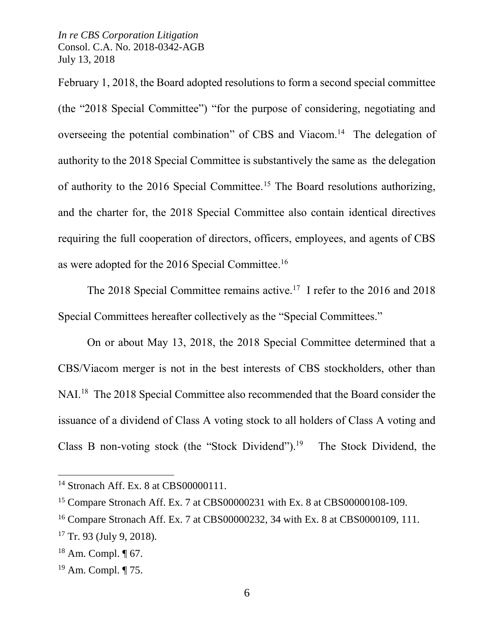February 1, 2018, the Board adopted resolutions to form a second special committee (the "2018 Special Committee") "for the purpose of considering, negotiating and overseeing the potential combination" of CBS and Viacom.<sup>14</sup> The delegation of authority to the 2018 Special Committee is substantively the same as the delegation of authority to the 2016 Special Committee.<sup>15</sup> The Board resolutions authorizing, and the charter for, the 2018 Special Committee also contain identical directives requiring the full cooperation of directors, officers, employees, and agents of CBS as were adopted for the 2016 Special Committee.<sup>16</sup>

The 2018 Special Committee remains active.<sup>17</sup> I refer to the 2016 and 2018 Special Committees hereafter collectively as the "Special Committees."

On or about May 13, 2018, the 2018 Special Committee determined that a CBS/Viacom merger is not in the best interests of CBS stockholders, other than NAI.<sup>18</sup> The 2018 Special Committee also recommended that the Board consider the issuance of a dividend of Class A voting stock to all holders of Class A voting and Class B non-voting stock (the "Stock Dividend").<sup>19</sup> The Stock Dividend, the

<sup>14</sup> Stronach Aff. Ex. 8 at CBS00000111.

<sup>&</sup>lt;sup>15</sup> Compare Stronach Aff. Ex. 7 at CBS00000231 with Ex. 8 at CBS00000108-109.

<sup>&</sup>lt;sup>16</sup> Compare Stronach Aff. Ex. 7 at CBS00000232, 34 with Ex. 8 at CBS0000109, 111.

 $17$  Tr. 93 (July 9, 2018).

 $18$  Am. Compl.  $\P$  67.

<sup>19</sup> Am. Compl. ¶ 75.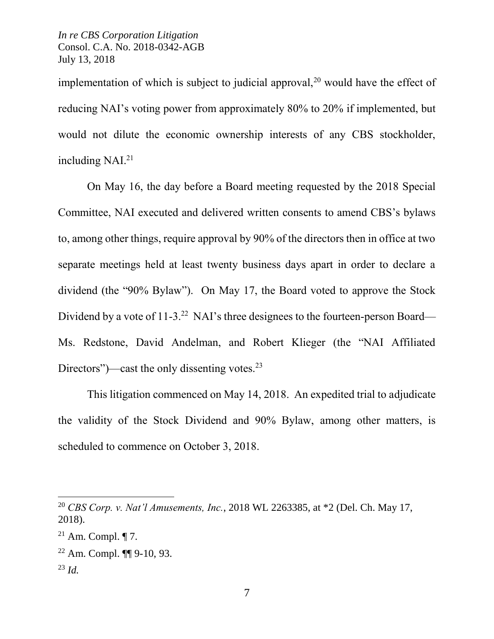implementation of which is subject to judicial approval,<sup>20</sup> would have the effect of reducing NAI's voting power from approximately 80% to 20% if implemented, but would not dilute the economic ownership interests of any CBS stockholder, including NAI.<sup>21</sup>

On May 16, the day before a Board meeting requested by the 2018 Special Committee, NAI executed and delivered written consents to amend CBS's bylaws to, among other things, require approval by 90% of the directors then in office at two separate meetings held at least twenty business days apart in order to declare a dividend (the "90% Bylaw"). On May 17, the Board voted to approve the Stock Dividend by a vote of 11-3.<sup>22</sup> NAI's three designees to the fourteen-person Board— Ms. Redstone, David Andelman, and Robert Klieger (the "NAI Affiliated Directors")—cast the only dissenting votes.<sup>23</sup>

This litigation commenced on May 14, 2018. An expedited trial to adjudicate the validity of the Stock Dividend and 90% Bylaw, among other matters, is scheduled to commence on October 3, 2018.

<sup>23</sup> *Id.*

l

<sup>20</sup> *CBS Corp. v. Nat'l Amusements, Inc.*, 2018 WL 2263385, at \*2 (Del. Ch. May 17, 2018).

 $21$  Am. Compl.  $\P$  7.

 $22$  Am. Compl.  $\P\P$  9-10, 93.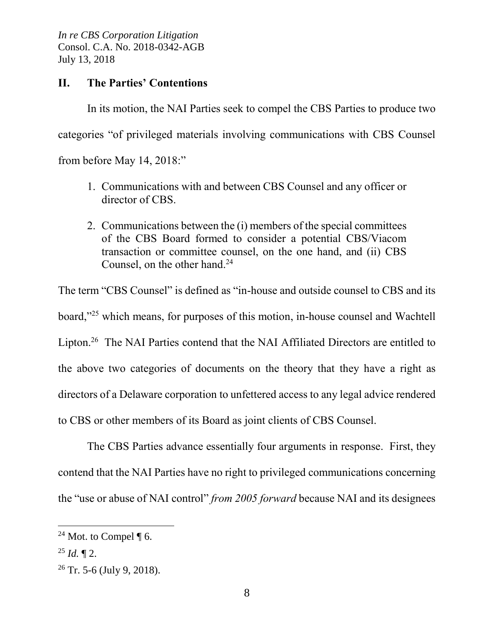## **II. The Parties' Contentions**

In its motion, the NAI Parties seek to compel the CBS Parties to produce two categories "of privileged materials involving communications with CBS Counsel from before May 14, 2018:"

- 1. Communications with and between CBS Counsel and any officer or director of CBS.
- 2. Communications between the (i) members of the special committees of the CBS Board formed to consider a potential CBS/Viacom transaction or committee counsel, on the one hand, and (ii) CBS Counsel, on the other hand. 24

The term "CBS Counsel" is defined as "in-house and outside counsel to CBS and its board,"<sup>25</sup> which means, for purposes of this motion, in-house counsel and Wachtell Lipton.<sup>26</sup> The NAI Parties contend that the NAI Affiliated Directors are entitled to the above two categories of documents on the theory that they have a right as directors of a Delaware corporation to unfettered access to any legal advice rendered to CBS or other members of its Board as joint clients of CBS Counsel.

The CBS Parties advance essentially four arguments in response. First, they contend that the NAI Parties have no right to privileged communications concerning the "use or abuse of NAI control" *from 2005 forward* because NAI and its designees

<sup>&</sup>lt;sup>24</sup> Mot. to Compel  $\P$  6.

 $^{25}$  *Id.*  $\P$  2.

 $26$  Tr. 5-6 (July 9, 2018).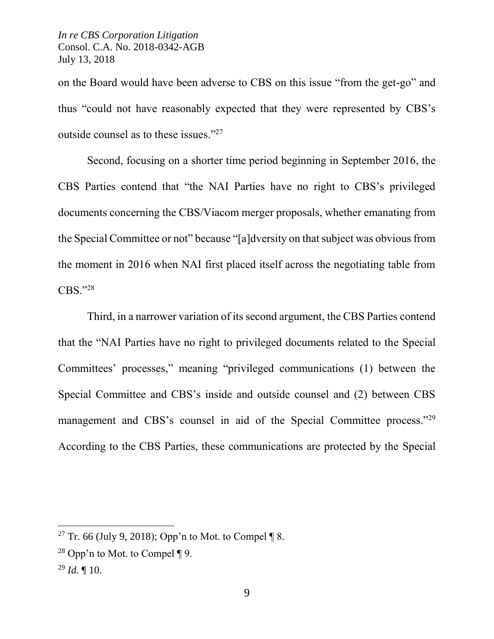on the Board would have been adverse to CBS on this issue "from the get-go" and thus "could not have reasonably expected that they were represented by CBS's outside counsel as to these issues."<sup>27</sup>

Second, focusing on a shorter time period beginning in September 2016, the CBS Parties contend that "the NAI Parties have no right to CBS's privileged documents concerning the CBS/Viacom merger proposals, whether emanating from the Special Committee or not" because "[a]dversity on that subject was obvious from the moment in 2016 when NAI first placed itself across the negotiating table from CBS."<sup>28</sup>

Third, in a narrower variation of its second argument, the CBS Parties contend that the "NAI Parties have no right to privileged documents related to the Special Committees' processes," meaning "privileged communications (1) between the Special Committee and CBS's inside and outside counsel and (2) between CBS management and CBS's counsel in aid of the Special Committee process."<sup>29</sup> According to the CBS Parties, these communications are protected by the Special

<sup>&</sup>lt;sup>27</sup> Tr. 66 (July 9, 2018); Opp'n to Mot. to Compel  $\P$  8.

<sup>&</sup>lt;sup>28</sup> Opp'n to Mot. to Compel ¶ 9.

 $^{29}$  *Id.*  $\blacksquare$  10.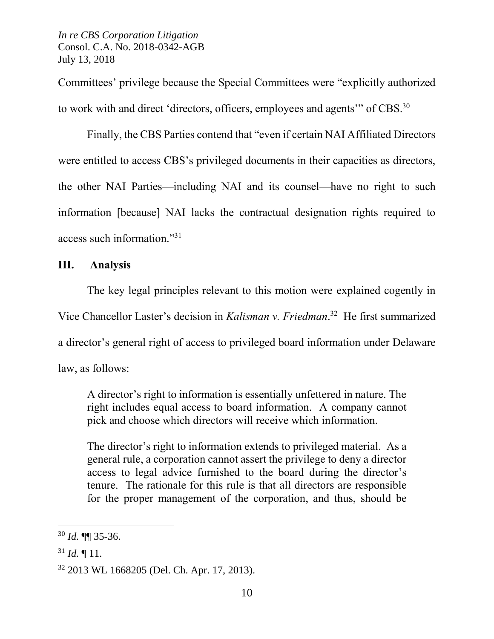Committees' privilege because the Special Committees were "explicitly authorized to work with and direct 'directors, officers, employees and agents'" of CBS. $30$ 

Finally, the CBS Parties contend that "even if certain NAI Affiliated Directors were entitled to access CBS's privileged documents in their capacities as directors, the other NAI Parties—including NAI and its counsel—have no right to such information [because] NAI lacks the contractual designation rights required to access such information." 31

## **III. Analysis**

The key legal principles relevant to this motion were explained cogently in Vice Chancellor Laster's decision in *Kalisman v. Friedman*. 32 He first summarized a director's general right of access to privileged board information under Delaware law, as follows:

A director's right to information is essentially unfettered in nature. The right includes equal access to board information. A company cannot pick and choose which directors will receive which information.

The director's right to information extends to privileged material. As a general rule, a corporation cannot assert the privilege to deny a director access to legal advice furnished to the board during the director's tenure. The rationale for this rule is that all directors are responsible for the proper management of the corporation, and thus, should be

<sup>30</sup> *Id.* ¶¶ 35-36.

 $31$  *Id.*  $\P$  11.

<sup>32</sup> 2013 WL 1668205 (Del. Ch. Apr. 17, 2013).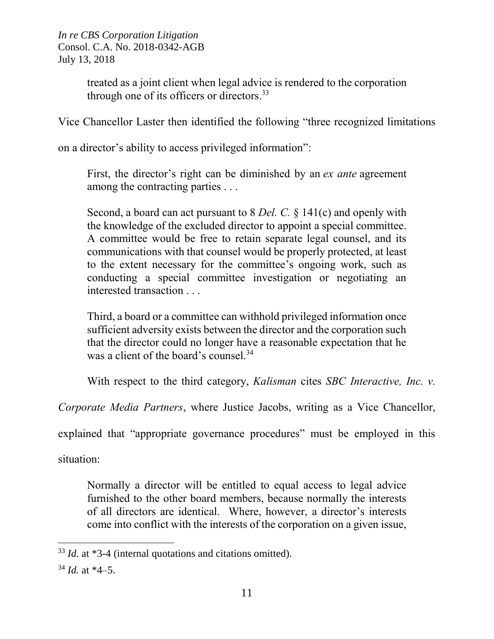> treated as a joint client when legal advice is rendered to the corporation through one of its officers or directors.<sup>33</sup>

Vice Chancellor Laster then identified the following "three recognized limitations

on a director's ability to access privileged information":

First, the director's right can be diminished by an *ex ante* agreement among the contracting parties . . .

Second, a board can act pursuant to 8 *Del. C.* § 141(c) and openly with the knowledge of the excluded director to appoint a special committee. A committee would be free to retain separate legal counsel, and its communications with that counsel would be properly protected, at least to the extent necessary for the committee's ongoing work, such as conducting a special committee investigation or negotiating an interested transaction . . .

Third, a board or a committee can withhold privileged information once sufficient adversity exists between the director and the corporation such that the director could no longer have a reasonable expectation that he was a client of the board's counsel.<sup>34</sup>

With respect to the third category, *Kalisman* cites *SBC Interactive, Inc. v.* 

*Corporate Media Partners*, where Justice Jacobs, writing as a Vice Chancellor,

explained that "appropriate governance procedures" must be employed in this

situation:

Normally a director will be entitled to equal access to legal advice furnished to the other board members, because normally the interests of all directors are identical. Where, however, a director's interests come into conflict with the interests of the corporation on a given issue,

<sup>33</sup> *Id.* at \*3-4 (internal quotations and citations omitted).

<sup>34</sup> *Id.* at \*4–5.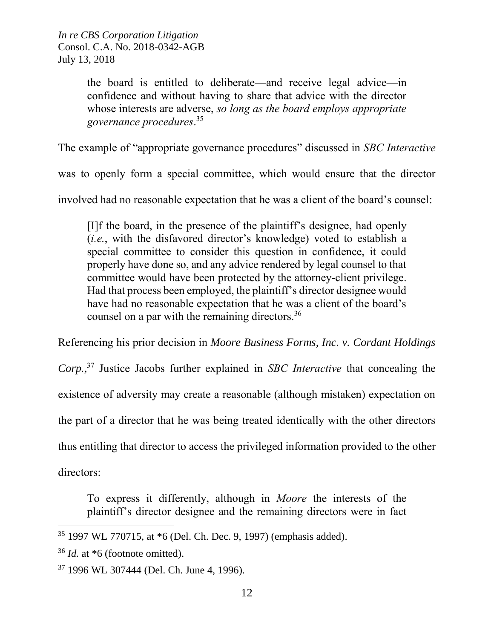> the board is entitled to deliberate—and receive legal advice—in confidence and without having to share that advice with the director whose interests are adverse, *so long as the board employs appropriate governance procedures*. 35

The example of "appropriate governance procedures" discussed in *SBC Interactive*

was to openly form a special committee, which would ensure that the director

involved had no reasonable expectation that he was a client of the board's counsel:

[I]f the board, in the presence of the plaintiff's designee, had openly (*i.e.*, with the disfavored director's knowledge) voted to establish a special committee to consider this question in confidence, it could properly have done so, and any advice rendered by legal counsel to that committee would have been protected by the attorney-client privilege. Had that process been employed, the plaintiff's director designee would have had no reasonable expectation that he was a client of the board's counsel on a par with the remaining directors.<sup>36</sup>

Referencing his prior decision in *Moore Business Forms, Inc. v. Cordant Holdings Corp.*, <sup>37</sup> Justice Jacobs further explained in *SBC Interactive* that concealing the existence of adversity may create a reasonable (although mistaken) expectation on the part of a director that he was being treated identically with the other directors thus entitling that director to access the privileged information provided to the other directors:

To express it differently, although in *Moore* the interests of the plaintiff's director designee and the remaining directors were in fact

<sup>35</sup> 1997 WL 770715, at \*6 (Del. Ch. Dec. 9, 1997) (emphasis added).

<sup>36</sup> *Id.* at \*6 (footnote omitted).

<sup>37</sup> 1996 WL 307444 (Del. Ch. June 4, 1996).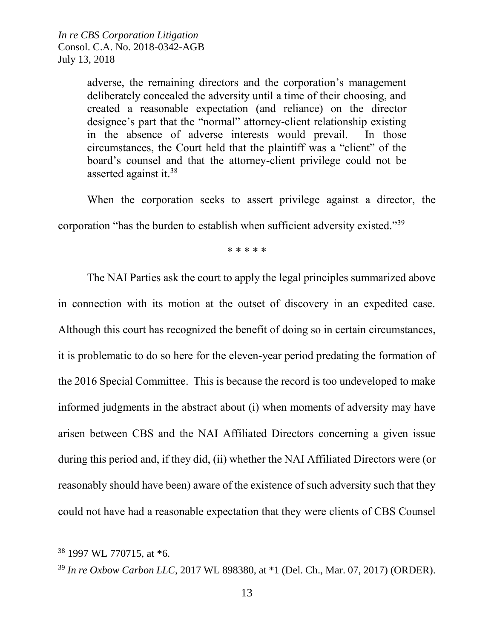adverse, the remaining directors and the corporation's management deliberately concealed the adversity until a time of their choosing, and created a reasonable expectation (and reliance) on the director designee's part that the "normal" attorney-client relationship existing in the absence of adverse interests would prevail. In those circumstances, the Court held that the plaintiff was a "client" of the board's counsel and that the attorney-client privilege could not be asserted against it.<sup>38</sup>

When the corporation seeks to assert privilege against a director, the corporation "has the burden to establish when sufficient adversity existed."<sup>39</sup>

\* \* \* \* \*

The NAI Parties ask the court to apply the legal principles summarized above in connection with its motion at the outset of discovery in an expedited case. Although this court has recognized the benefit of doing so in certain circumstances, it is problematic to do so here for the eleven-year period predating the formation of the 2016 Special Committee. This is because the record is too undeveloped to make informed judgments in the abstract about (i) when moments of adversity may have arisen between CBS and the NAI Affiliated Directors concerning a given issue during this period and, if they did, (ii) whether the NAI Affiliated Directors were (or reasonably should have been) aware of the existence of such adversity such that they could not have had a reasonable expectation that they were clients of CBS Counsel

<sup>38</sup> 1997 WL 770715, at \*6*.*

<sup>39</sup> *In re Oxbow Carbon LLC*, 2017 WL 898380, at \*1 (Del. Ch., Mar. 07, 2017) (ORDER).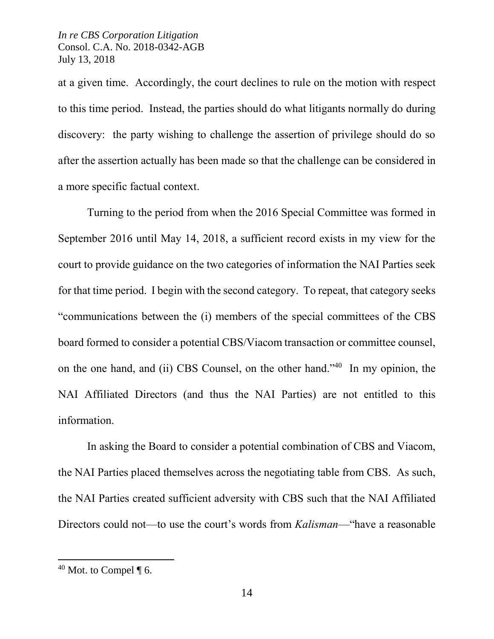at a given time. Accordingly, the court declines to rule on the motion with respect to this time period. Instead, the parties should do what litigants normally do during discovery: the party wishing to challenge the assertion of privilege should do so after the assertion actually has been made so that the challenge can be considered in a more specific factual context.

Turning to the period from when the 2016 Special Committee was formed in September 2016 until May 14, 2018, a sufficient record exists in my view for the court to provide guidance on the two categories of information the NAI Parties seek for that time period. I begin with the second category. To repeat, that category seeks "communications between the (i) members of the special committees of the CBS board formed to consider a potential CBS/Viacom transaction or committee counsel, on the one hand, and (ii) CBS Counsel, on the other hand." 40 In my opinion, the NAI Affiliated Directors (and thus the NAI Parties) are not entitled to this information.

In asking the Board to consider a potential combination of CBS and Viacom, the NAI Parties placed themselves across the negotiating table from CBS. As such, the NAI Parties created sufficient adversity with CBS such that the NAI Affiliated Directors could not—to use the court's words from *Kalisman*—"have a reasonable

 $40$  Mot. to Compel ¶ 6.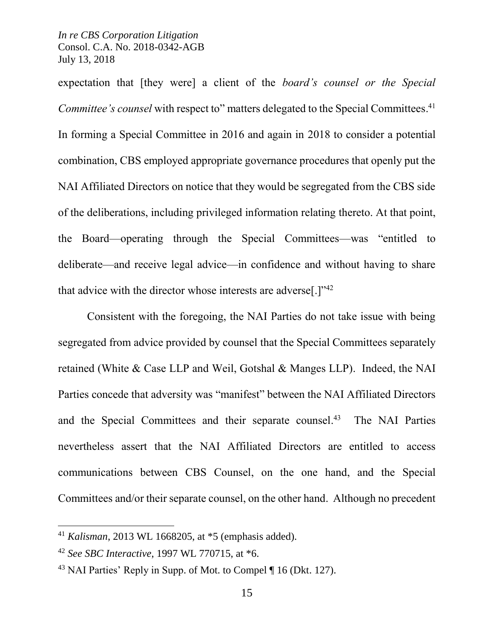expectation that [they were] a client of the *board's counsel or the Special Committee's counsel* with respect to" matters delegated to the Special Committees. 41 In forming a Special Committee in 2016 and again in 2018 to consider a potential combination, CBS employed appropriate governance procedures that openly put the NAI Affiliated Directors on notice that they would be segregated from the CBS side of the deliberations, including privileged information relating thereto. At that point, the Board—operating through the Special Committees—was "entitled to deliberate—and receive legal advice—in confidence and without having to share that advice with the director whose interests are adverse<sup>[ $.$ ]"<sup>42</sup></sup>

Consistent with the foregoing, the NAI Parties do not take issue with being segregated from advice provided by counsel that the Special Committees separately retained (White & Case LLP and Weil, Gotshal & Manges LLP). Indeed, the NAI Parties concede that adversity was "manifest" between the NAI Affiliated Directors and the Special Committees and their separate counsel.<sup>43</sup> The NAI Parties nevertheless assert that the NAI Affiliated Directors are entitled to access communications between CBS Counsel, on the one hand, and the Special Committees and/or their separate counsel, on the other hand. Although no precedent

<sup>41</sup> *Kalisman*, 2013 WL 1668205, at \*5 (emphasis added).

<sup>42</sup> *See SBC Interactive*, 1997 WL 770715, at \*6.

<sup>43</sup> NAI Parties' Reply in Supp. of Mot. to Compel ¶ 16 (Dkt. 127).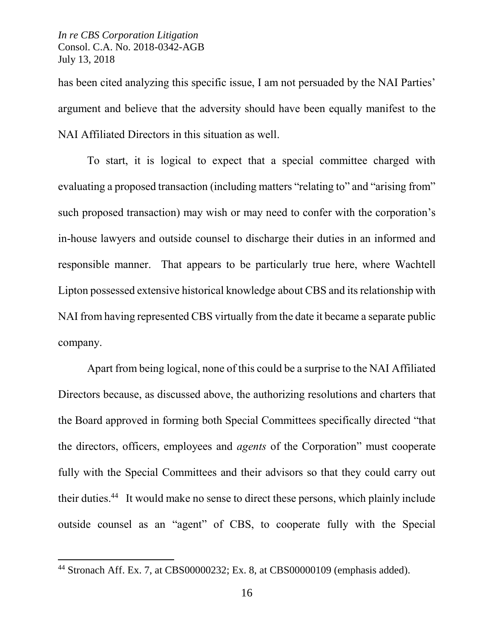$\overline{\phantom{a}}$ 

has been cited analyzing this specific issue, I am not persuaded by the NAI Parties' argument and believe that the adversity should have been equally manifest to the NAI Affiliated Directors in this situation as well.

To start, it is logical to expect that a special committee charged with evaluating a proposed transaction (including matters "relating to" and "arising from" such proposed transaction) may wish or may need to confer with the corporation's in-house lawyers and outside counsel to discharge their duties in an informed and responsible manner. That appears to be particularly true here, where Wachtell Lipton possessed extensive historical knowledge about CBS and its relationship with NAI from having represented CBS virtually from the date it became a separate public company.

Apart from being logical, none of this could be a surprise to the NAI Affiliated Directors because, as discussed above, the authorizing resolutions and charters that the Board approved in forming both Special Committees specifically directed "that the directors, officers, employees and *agents* of the Corporation" must cooperate fully with the Special Committees and their advisors so that they could carry out their duties. <sup>44</sup> It would make no sense to direct these persons, which plainly include outside counsel as an "agent" of CBS, to cooperate fully with the Special

<sup>44</sup> Stronach Aff. Ex. 7, at CBS00000232; Ex. 8, at CBS00000109 (emphasis added).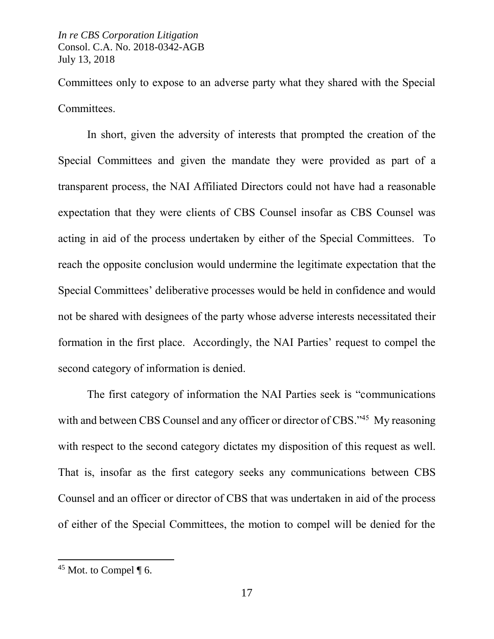Committees only to expose to an adverse party what they shared with the Special Committees.

In short, given the adversity of interests that prompted the creation of the Special Committees and given the mandate they were provided as part of a transparent process, the NAI Affiliated Directors could not have had a reasonable expectation that they were clients of CBS Counsel insofar as CBS Counsel was acting in aid of the process undertaken by either of the Special Committees. To reach the opposite conclusion would undermine the legitimate expectation that the Special Committees' deliberative processes would be held in confidence and would not be shared with designees of the party whose adverse interests necessitated their formation in the first place. Accordingly, the NAI Parties' request to compel the second category of information is denied.

The first category of information the NAI Parties seek is "communications with and between CBS Counsel and any officer or director of CBS."<sup>45</sup> My reasoning with respect to the second category dictates my disposition of this request as well. That is, insofar as the first category seeks any communications between CBS Counsel and an officer or director of CBS that was undertaken in aid of the process of either of the Special Committees, the motion to compel will be denied for the

 $45$  Mot. to Compel ¶ 6.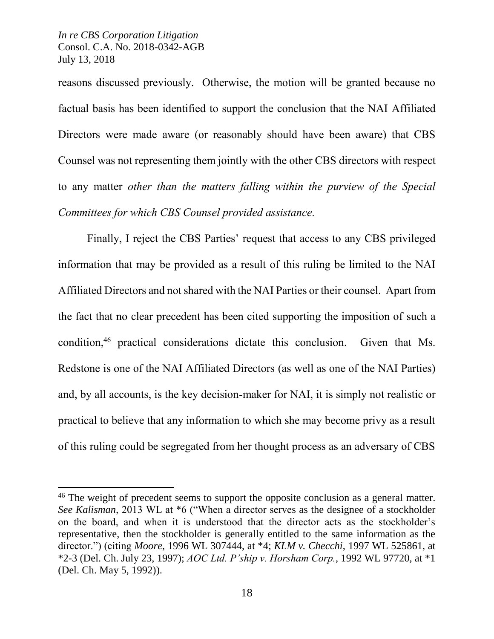$\overline{\phantom{a}}$ 

reasons discussed previously. Otherwise, the motion will be granted because no factual basis has been identified to support the conclusion that the NAI Affiliated Directors were made aware (or reasonably should have been aware) that CBS Counsel was not representing them jointly with the other CBS directors with respect to any matter *other than the matters falling within the purview of the Special Committees for which CBS Counsel provided assistance.* 

Finally, I reject the CBS Parties' request that access to any CBS privileged information that may be provided as a result of this ruling be limited to the NAI Affiliated Directors and not shared with the NAI Parties or their counsel. Apart from the fact that no clear precedent has been cited supporting the imposition of such a condition,<sup>46</sup> practical considerations dictate this conclusion. Given that Ms. Redstone is one of the NAI Affiliated Directors (as well as one of the NAI Parties) and, by all accounts, is the key decision-maker for NAI, it is simply not realistic or practical to believe that any information to which she may become privy as a result of this ruling could be segregated from her thought process as an adversary of CBS

<sup>&</sup>lt;sup>46</sup> The weight of precedent seems to support the opposite conclusion as a general matter. *See Kalisman*, 2013 WL at \*6 ("When a director serves as the designee of a stockholder on the board, and when it is understood that the director acts as the stockholder's representative, then the stockholder is generally entitled to the same information as the director.") (citing *Moore*, 1996 WL 307444, at \*4; *KLM v. Checchi*, 1997 WL 525861, at \*2-3 (Del. Ch. July 23, 1997); *AOC Ltd. P'ship v. Horsham Corp.*, 1992 WL 97720, at \*1 (Del. Ch. May 5, 1992)).